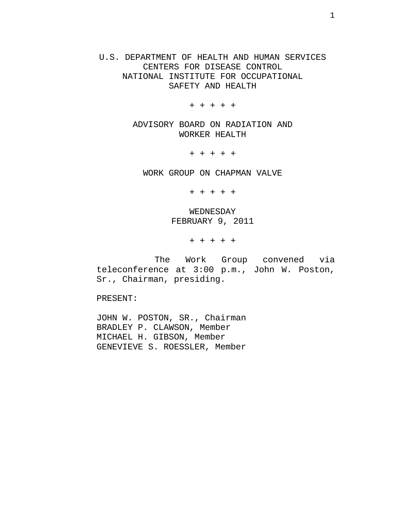U.S. DEPARTMENT OF HEALTH AND HUMAN SERVICES CENTERS FOR DISEASE CONTROL NATIONAL INSTITUTE FOR OCCUPATIONAL SAFETY AND HEALTH

+ + + + +

ADVISORY BOARD ON RADIATION AND WORKER HEALTH

+ + + + +

WORK GROUP ON CHAPMAN VALVE

+ + + + +

WEDNESDAY FEBRUARY 9, 2011

+ + + + +

 The Work Group convened via teleconference at 3:00 p.m., John W. Poston, Sr., Chairman, presiding.

PRESENT:

JOHN W. POSTON, SR., Chairman BRADLEY P. CLAWSON, Member MICHAEL H. GIBSON, Member GENEVIEVE S. ROESSLER, Member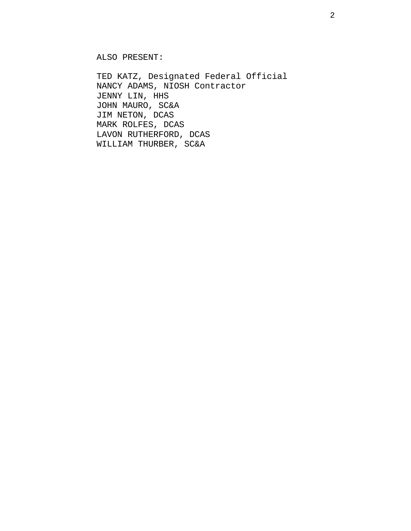ALSO PRESENT:

TED KATZ, Designated Federal Official NANCY ADAMS, NIOSH Contractor JENNY LIN, HHS JOHN MAURO, SC&A JIM NETON, DCAS MARK ROLFES, DCAS LAVON RUTHERFORD, DCAS WILLIAM THURBER, SC&A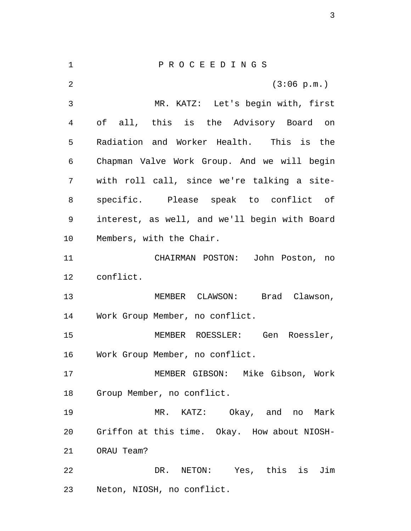1 P R O C E E D I N G S 2 (3:06 p.m.) 3 MR. KATZ: Let's begin with, first 4 of all, this is the Advisory Board on 5 Radiation and Worker Health. This is the 6 Chapman Valve Work Group. And we will begin 7 with roll call, since we're talking a site-8 specific. Please speak to conflict of 9 interest, as well, and we'll begin with Board 10 Members, with the Chair. 11 CHAIRMAN POSTON: John Poston, no 12 conflict. 13 MEMBER CLAWSON: Brad Clawson, 14 Work Group Member, no conflict. 15 MEMBER ROESSLER: Gen Roessler, 16 Work Group Member, no conflict. 17 MEMBER GIBSON: Mike Gibson, Work 18 Group Member, no conflict. 19 MR. KATZ: Okay, and no Mark 20 Griffon at this time. Okay. How about NIOSH-21 ORAU Team? 22 DR. NETON: Yes, this is Jim 23 Neton, NIOSH, no conflict.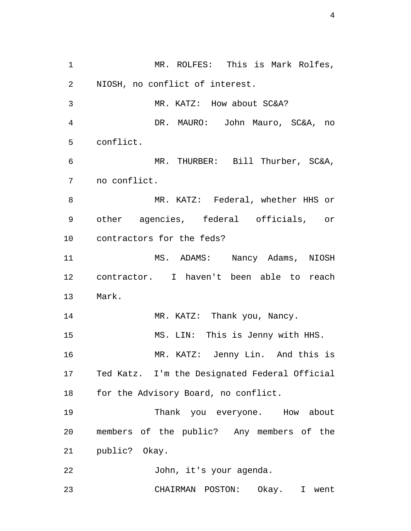1 MR. ROLFES: This is Mark Rolfes, 2 NIOSH, no conflict of interest. 3 MR. KATZ: How about SC&A? 4 DR. MAURO: John Mauro, SC&A, no 5 conflict. 6 MR. THURBER: Bill Thurber, SC&A, 7 no conflict. 8 MR. KATZ: Federal, whether HHS or 9 other agencies, federal officials, or 10 contractors for the feds? 11 MS. ADAMS: Nancy Adams, NIOSH 12 contractor. I haven't been able to reach 13 Mark. 14 MR. KATZ: Thank you, Nancy. 15 MS. LIN: This is Jenny with HHS. 16 MR. KATZ: Jenny Lin. And this is 17 Ted Katz. I'm the Designated Federal Official 18 for the Advisory Board, no conflict. 19 Thank you everyone. How about 20 members of the public? Any members of the 21 public? Okay. 22 John, it's your agenda. 23 CHAIRMAN POSTON: Okay. I went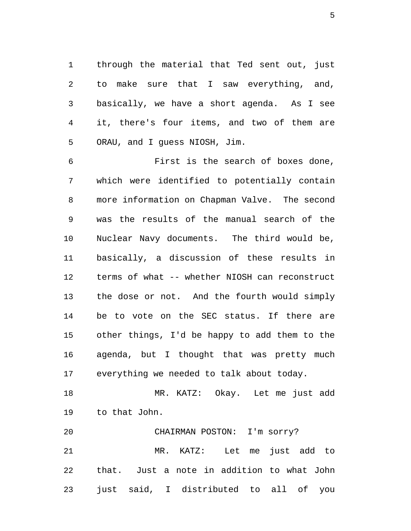1 through the material that Ted sent out, just 2 to make sure that I saw everything, and, 3 basically, we have a short agenda. As I see 4 it, there's four items, and two of them are 5 ORAU, and I guess NIOSH, Jim.

6 First is the search of boxes done, 7 which were identified to potentially contain 8 more information on Chapman Valve. The second 9 was the results of the manual search of the 10 Nuclear Navy documents. The third would be, 11 basically, a discussion of these results in 12 terms of what -- whether NIOSH can reconstruct 13 the dose or not. And the fourth would simply 14 be to vote on the SEC status. If there are 15 other things, I'd be happy to add them to the 16 agenda, but I thought that was pretty much 17 everything we needed to talk about today.

18 MR. KATZ: Okay. Let me just add 19 to that John.

20 CHAIRMAN POSTON: I'm sorry? 21 MR. KATZ: Let me just add to 22 that. Just a note in addition to what John 23 just said, I distributed to all of you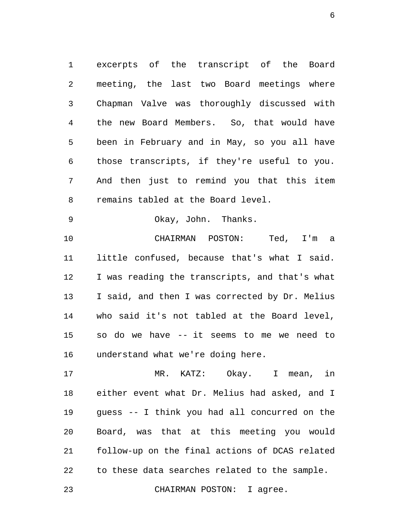1 excerpts of the transcript of the Board 2 meeting, the last two Board meetings where 3 Chapman Valve was thoroughly discussed with 4 the new Board Members. So, that would have 5 been in February and in May, so you all have 6 those transcripts, if they're useful to you. 7 And then just to remind you that this item 8 remains tabled at the Board level.

9 Okay, John. Thanks. 10 CHAIRMAN POSTON: Ted, I'm a 11 little confused, because that's what I said. 12 I was reading the transcripts, and that's what 13 I said, and then I was corrected by Dr. Melius 14 who said it's not tabled at the Board level, 15 so do we have -- it seems to me we need to 16 understand what we're doing here.

17 MR. KATZ: Okay. I mean, in 18 either event what Dr. Melius had asked, and I 19 guess -- I think you had all concurred on the 20 Board, was that at this meeting you would 21 follow-up on the final actions of DCAS related 22 to these data searches related to the sample.

23 CHAIRMAN POSTON: I agree.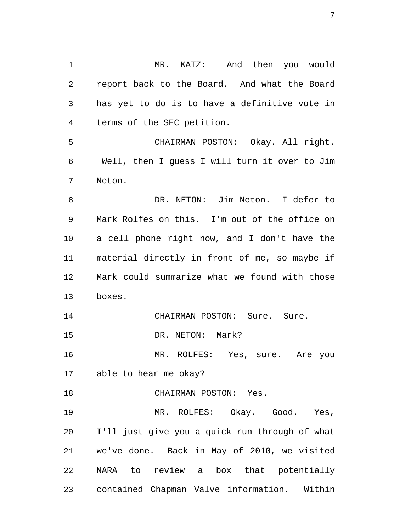1 MR. KATZ: And then you would 2 report back to the Board. And what the Board 3 has yet to do is to have a definitive vote in 4 terms of the SEC petition. 5 CHAIRMAN POSTON: Okay. All right. 6 Well, then I guess I will turn it over to Jim 7 Neton. 8 DR. NETON: Jim Neton. I defer to 9 Mark Rolfes on this. I'm out of the office on 10 a cell phone right now, and I don't have the 11 material directly in front of me, so maybe if 12 Mark could summarize what we found with those 13 boxes. 14 CHAIRMAN POSTON: Sure. Sure. 15 DR. NETON: Mark? 16 MR. ROLFES: Yes, sure. Are you 17 able to hear me okay? 18 CHAIRMAN POSTON: Yes. 19 MR. ROLFES: Okay. Good. Yes, 20 I'll just give you a quick run through of what 21 we've done. Back in May of 2010, we visited 22 NARA to review a box that potentially 23 contained Chapman Valve information. Within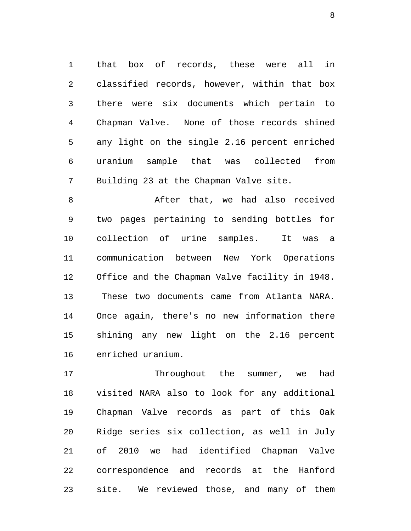1 that box of records, these were all in 2 classified records, however, within that box 3 there were six documents which pertain to 4 Chapman Valve. None of those records shined 5 any light on the single 2.16 percent enriched 6 uranium sample that was collected from 7 Building 23 at the Chapman Valve site.

8 After that, we had also received 9 two pages pertaining to sending bottles for 10 collection of urine samples. It was a 11 communication between New York Operations 12 Office and the Chapman Valve facility in 1948. 13 These two documents came from Atlanta NARA. 14 Once again, there's no new information there 15 shining any new light on the 2.16 percent 16 enriched uranium.

17 Throughout the summer, we had 18 visited NARA also to look for any additional 19 Chapman Valve records as part of this Oak 20 Ridge series six collection, as well in July 21 of 2010 we had identified Chapman Valve 22 correspondence and records at the Hanford 23 site. We reviewed those, and many of them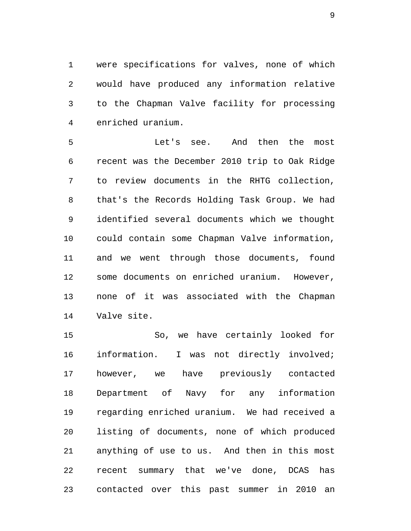1 were specifications for valves, none of which 2 would have produced any information relative 3 to the Chapman Valve facility for processing 4 enriched uranium.

5 Let's see. And then the most 6 recent was the December 2010 trip to Oak Ridge 7 to review documents in the RHTG collection, 8 that's the Records Holding Task Group. We had 9 identified several documents which we thought 10 could contain some Chapman Valve information, 11 and we went through those documents, found 12 some documents on enriched uranium. However, 13 none of it was associated with the Chapman 14 Valve site.

15 So, we have certainly looked for 16 information. I was not directly involved; 17 however, we have previously contacted 18 Department of Navy for any information 19 regarding enriched uranium. We had received a 20 listing of documents, none of which produced 21 anything of use to us. And then in this most 22 recent summary that we've done, DCAS has 23 contacted over this past summer in 2010 an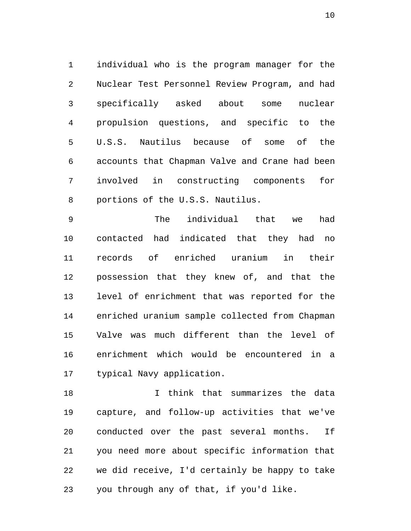1 individual who is the program manager for the 2 Nuclear Test Personnel Review Program, and had 3 specifically asked about some nuclear 4 propulsion questions, and specific to the 5 U.S.S. Nautilus because of some of the 6 accounts that Chapman Valve and Crane had been 7 involved in constructing components for 8 portions of the U.S.S. Nautilus.

9 The individual that we had 10 contacted had indicated that they had no 11 records of enriched uranium in their 12 possession that they knew of, and that the 13 level of enrichment that was reported for the 14 enriched uranium sample collected from Chapman 15 Valve was much different than the level of 16 enrichment which would be encountered in a 17 typical Navy application.

18 I think that summarizes the data 19 capture, and follow-up activities that we've 20 conducted over the past several months. If 21 you need more about specific information that 22 we did receive, I'd certainly be happy to take 23 you through any of that, if you'd like.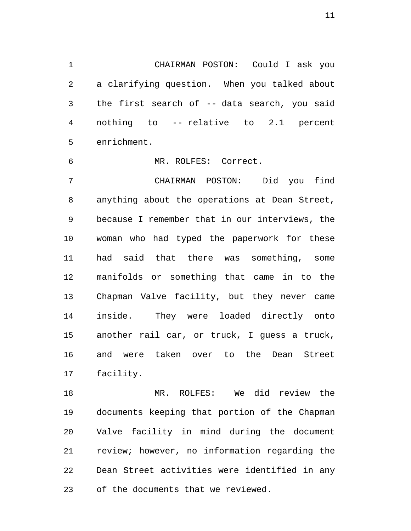1 CHAIRMAN POSTON: Could I ask you 2 a clarifying question. When you talked about 3 the first search of -- data search, you said 4 nothing to -- relative to 2.1 percent 5 enrichment.

6 MR. ROLFES: Correct.

7 CHAIRMAN POSTON: Did you find 8 anything about the operations at Dean Street, 9 because I remember that in our interviews, the 10 woman who had typed the paperwork for these 11 had said that there was something, some 12 manifolds or something that came in to the 13 Chapman Valve facility, but they never came 14 inside. They were loaded directly onto 15 another rail car, or truck, I guess a truck, 16 and were taken over to the Dean Street 17 facility.

18 MR. ROLFES: We did review the 19 documents keeping that portion of the Chapman 20 Valve facility in mind during the document 21 review; however, no information regarding the 22 Dean Street activities were identified in any 23 of the documents that we reviewed.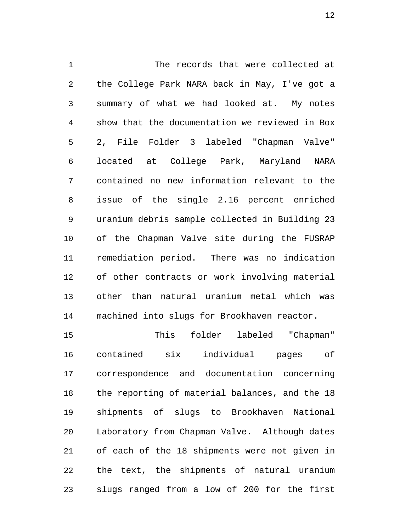1 The records that were collected at 2 the College Park NARA back in May, I've got a 3 summary of what we had looked at. My notes 4 show that the documentation we reviewed in Box 5 2, File Folder 3 labeled "Chapman Valve" 6 located at College Park, Maryland NARA 7 contained no new information relevant to the 8 issue of the single 2.16 percent enriched 9 uranium debris sample collected in Building 23 10 of the Chapman Valve site during the FUSRAP 11 remediation period. There was no indication 12 of other contracts or work involving material 13 other than natural uranium metal which was 14 machined into slugs for Brookhaven reactor.

15 This folder labeled "Chapman" 16 contained six individual pages of 17 correspondence and documentation concerning 18 the reporting of material balances, and the 18 19 shipments of slugs to Brookhaven National 20 Laboratory from Chapman Valve. Although dates 21 of each of the 18 shipments were not given in 22 the text, the shipments of natural uranium 23 slugs ranged from a low of 200 for the first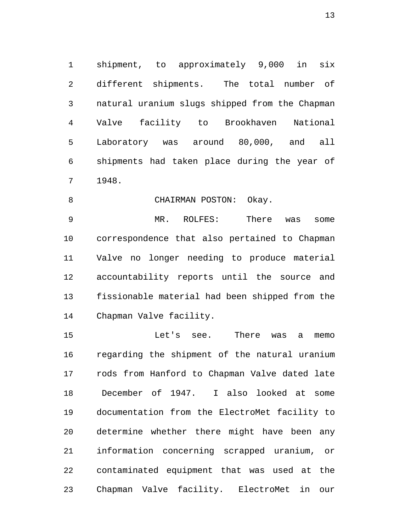1 shipment, to approximately 9,000 in six 2 different shipments. The total number of 3 natural uranium slugs shipped from the Chapman 4 Valve facility to Brookhaven National 5 Laboratory was around 80,000, and all 6 shipments had taken place during the year of 7 1948.

8 CHAIRMAN POSTON: Okay.

9 MR. ROLFES: There was some 10 correspondence that also pertained to Chapman 11 Valve no longer needing to produce material 12 accountability reports until the source and 13 fissionable material had been shipped from the 14 Chapman Valve facility.

15 Let's see. There was a memo 16 regarding the shipment of the natural uranium 17 rods from Hanford to Chapman Valve dated late 18 December of 1947. I also looked at some 19 documentation from the ElectroMet facility to 20 determine whether there might have been any 21 information concerning scrapped uranium, or 22 contaminated equipment that was used at the 23 Chapman Valve facility. ElectroMet in our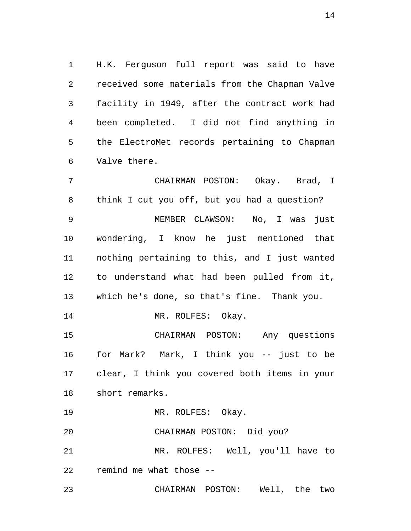1 H.K. Ferguson full report was said to have 2 received some materials from the Chapman Valve 3 facility in 1949, after the contract work had 4 been completed. I did not find anything in 5 the ElectroMet records pertaining to Chapman 6 Valve there.

7 CHAIRMAN POSTON: Okay. Brad, I 8 think I cut you off, but you had a question? 9 MEMBER CLAWSON: No, I was just 10 wondering, I know he just mentioned that 11 nothing pertaining to this, and I just wanted 12 to understand what had been pulled from it, 13 which he's done, so that's fine. Thank you. 14 MR. ROLFES: Okay. 15 CHAIRMAN POSTON: Any questions 16 for Mark? Mark, I think you -- just to be 17 clear, I think you covered both items in your 18 short remarks. 19 MR. ROLFES: Okay. 20 CHAIRMAN POSTON: Did you? 21 MR. ROLFES: Well, you'll have to 22 remind me what those -- 23 CHAIRMAN POSTON: Well, the two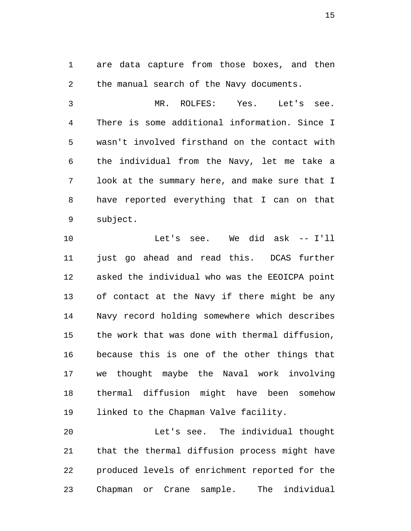1 are data capture from those boxes, and then 2 the manual search of the Navy documents.

3 MR. ROLFES: Yes. Let's see. 4 There is some additional information. Since I 5 wasn't involved firsthand on the contact with 6 the individual from the Navy, let me take a 7 look at the summary here, and make sure that I 8 have reported everything that I can on that 9 subject.

10 Let's see. We did ask -- I'll 11 just go ahead and read this. DCAS further 12 asked the individual who was the EEOICPA point 13 of contact at the Navy if there might be any 14 Navy record holding somewhere which describes 15 the work that was done with thermal diffusion, 16 because this is one of the other things that 17 we thought maybe the Naval work involving 18 thermal diffusion might have been somehow 19 linked to the Chapman Valve facility.

20 Let's see. The individual thought 21 that the thermal diffusion process might have 22 produced levels of enrichment reported for the 23 Chapman or Crane sample. The individual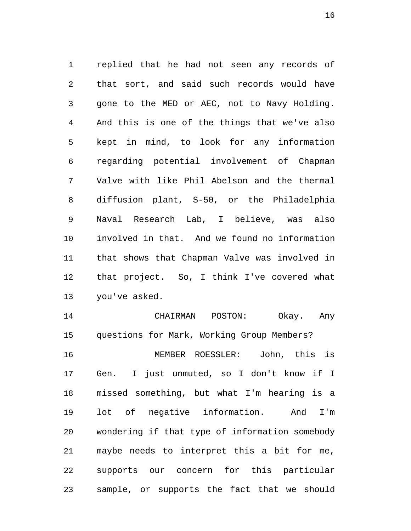1 replied that he had not seen any records of 2 that sort, and said such records would have 3 gone to the MED or AEC, not to Navy Holding. 4 And this is one of the things that we've also 5 kept in mind, to look for any information 6 regarding potential involvement of Chapman 7 Valve with like Phil Abelson and the thermal 8 diffusion plant, S-50, or the Philadelphia 9 Naval Research Lab, I believe, was also 10 involved in that. And we found no information 11 that shows that Chapman Valve was involved in 12 that project. So, I think I've covered what 13 you've asked.

14 CHAIRMAN POSTON: Okay. Any 15 questions for Mark, Working Group Members? 16 MEMBER ROESSLER: John, this is 17 Gen. I just unmuted, so I don't know if I 18 missed something, but what I'm hearing is a 19 lot of negative information. And I'm 20 wondering if that type of information somebody 21 maybe needs to interpret this a bit for me, 22 supports our concern for this particular 23 sample, or supports the fact that we should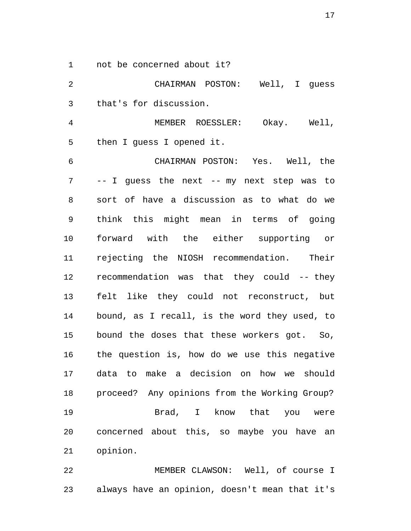1 not be concerned about it?

2 CHAIRMAN POSTON: Well, I guess 3 that's for discussion. 4 MEMBER ROESSLER: Okay. Well, 5 then I guess I opened it. 6 CHAIRMAN POSTON: Yes. Well, the 7 -- I guess the next -- my next step was to 8 sort of have a discussion as to what do we 9 think this might mean in terms of going 10 forward with the either supporting or 11 rejecting the NIOSH recommendation. Their 12 recommendation was that they could -- they 13 felt like they could not reconstruct, but 14 bound, as I recall, is the word they used, to 15 bound the doses that these workers got. So, 16 the question is, how do we use this negative 17 data to make a decision on how we should 18 proceed? Any opinions from the Working Group? 19 Brad, I know that you were 20 concerned about this, so maybe you have an

21 opinion.

22 MEMBER CLAWSON: Well, of course I 23 always have an opinion, doesn't mean that it's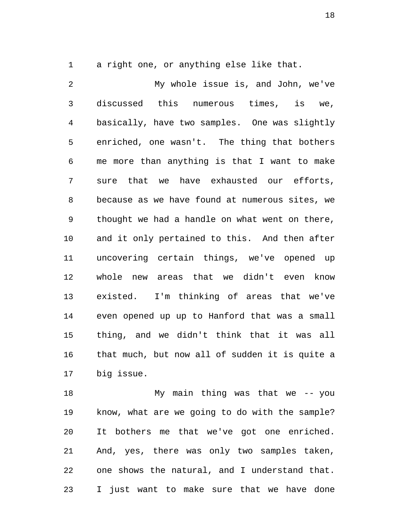1 a right one, or anything else like that.

2 My whole issue is, and John, we've 3 discussed this numerous times, is we, 4 basically, have two samples. One was slightly 5 enriched, one wasn't. The thing that bothers 6 me more than anything is that I want to make 7 sure that we have exhausted our efforts, 8 because as we have found at numerous sites, we 9 thought we had a handle on what went on there, 10 and it only pertained to this. And then after 11 uncovering certain things, we've opened up 12 whole new areas that we didn't even know 13 existed. I'm thinking of areas that we've 14 even opened up up to Hanford that was a small 15 thing, and we didn't think that it was all 16 that much, but now all of sudden it is quite a 17 big issue.

18 My main thing was that we -- you 19 know, what are we going to do with the sample? 20 It bothers me that we've got one enriched. 21 And, yes, there was only two samples taken, 22 one shows the natural, and I understand that. 23 I just want to make sure that we have done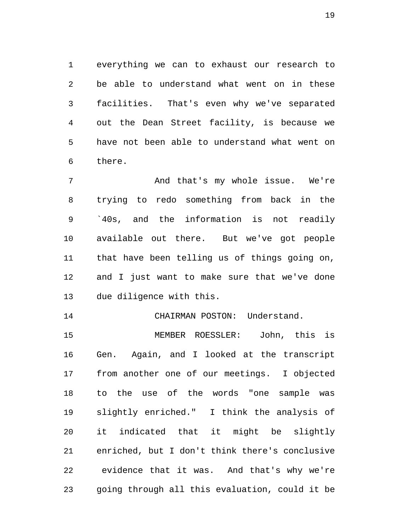1 everything we can to exhaust our research to 2 be able to understand what went on in these 3 facilities. That's even why we've separated 4 out the Dean Street facility, is because we 5 have not been able to understand what went on 6 there.

7 And that's my whole issue. We're 8 trying to redo something from back in the 9 `40s, and the information is not readily 10 available out there. But we've got people 11 that have been telling us of things going on, 12 and I just want to make sure that we've done 13 due diligence with this.

14 CHAIRMAN POSTON: Understand.

15 MEMBER ROESSLER: John, this is 16 Gen. Again, and I looked at the transcript 17 from another one of our meetings. I objected 18 to the use of the words "one sample was 19 slightly enriched." I think the analysis of 20 it indicated that it might be slightly 21 enriched, but I don't think there's conclusive 22 evidence that it was. And that's why we're 23 going through all this evaluation, could it be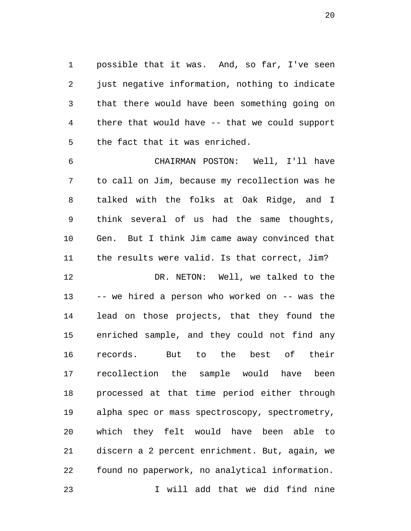1 possible that it was. And, so far, I've seen 2 just negative information, nothing to indicate 3 that there would have been something going on 4 there that would have -- that we could support 5 the fact that it was enriched.

6 CHAIRMAN POSTON: Well, I'll have 7 to call on Jim, because my recollection was he 8 talked with the folks at Oak Ridge, and I 9 think several of us had the same thoughts, 10 Gen. But I think Jim came away convinced that 11 the results were valid. Is that correct, Jim? 12 DR. NETON: Well, we talked to the 13 -- we hired a person who worked on -- was the 14 lead on those projects, that they found the 15 enriched sample, and they could not find any

16 records. But to the best of their 17 recollection the sample would have been 18 processed at that time period either through 19 alpha spec or mass spectroscopy, spectrometry, 20 which they felt would have been able to 21 discern a 2 percent enrichment. But, again, we 22 found no paperwork, no analytical information. 23 I will add that we did find nine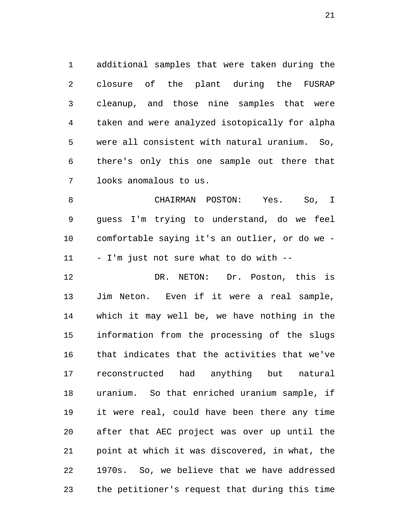1 additional samples that were taken during the 2 closure of the plant during the FUSRAP 3 cleanup, and those nine samples that were 4 taken and were analyzed isotopically for alpha 5 were all consistent with natural uranium. So, 6 there's only this one sample out there that 7 looks anomalous to us.

8 CHAIRMAN POSTON: Yes. So, I 9 guess I'm trying to understand, do we feel 10 comfortable saying it's an outlier, or do we - 11 - I'm just not sure what to do with --

12 DR. NETON: Dr. Poston, this is 13 Jim Neton. Even if it were a real sample, 14 which it may well be, we have nothing in the 15 information from the processing of the slugs 16 that indicates that the activities that we've 17 reconstructed had anything but natural 18 uranium. So that enriched uranium sample, if 19 it were real, could have been there any time 20 after that AEC project was over up until the 21 point at which it was discovered, in what, the 22 1970s. So, we believe that we have addressed 23 the petitioner's request that during this time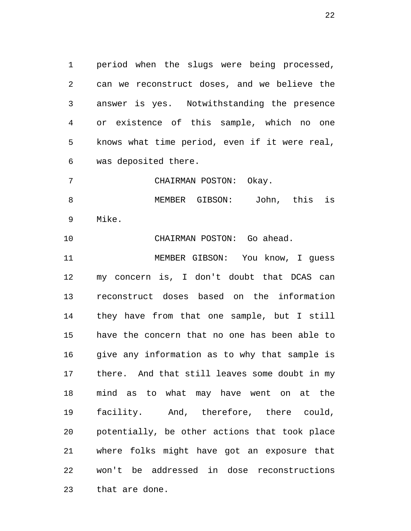1 period when the slugs were being processed, 2 can we reconstruct doses, and we believe the 3 answer is yes. Notwithstanding the presence 4 or existence of this sample, which no one 5 knows what time period, even if it were real, 6 was deposited there.

7 CHAIRMAN POSTON: Okay.

8 MEMBER GIBSON: John, this is 9 Mike.

10 CHAIRMAN POSTON: Go ahead.

11 MEMBER GIBSON: You know, I guess 12 my concern is, I don't doubt that DCAS can 13 reconstruct doses based on the information 14 they have from that one sample, but I still 15 have the concern that no one has been able to 16 give any information as to why that sample is 17 there. And that still leaves some doubt in my 18 mind as to what may have went on at the 19 facility. And, therefore, there could, 20 potentially, be other actions that took place 21 where folks might have got an exposure that 22 won't be addressed in dose reconstructions 23 that are done.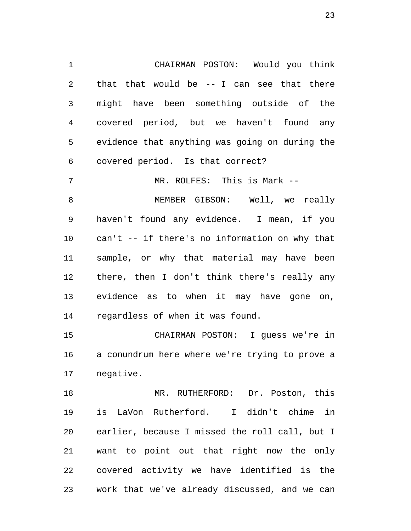1 CHAIRMAN POSTON: Would you think 2 that that would be -- I can see that there 3 might have been something outside of the 4 covered period, but we haven't found any 5 evidence that anything was going on during the 6 covered period. Is that correct? 7 MR. ROLFES: This is Mark -- 8 MEMBER GIBSON: Well, we really 9 haven't found any evidence. I mean, if you 10 can't -- if there's no information on why that 11 sample, or why that material may have been 12 there, then I don't think there's really any 13 evidence as to when it may have gone on,

14 regardless of when it was found.

15 CHAIRMAN POSTON: I guess we're in 16 a conundrum here where we're trying to prove a 17 negative.

18 MR. RUTHERFORD: Dr. Poston, this 19 is LaVon Rutherford. I didn't chime in 20 earlier, because I missed the roll call, but I 21 want to point out that right now the only 22 covered activity we have identified is the 23 work that we've already discussed, and we can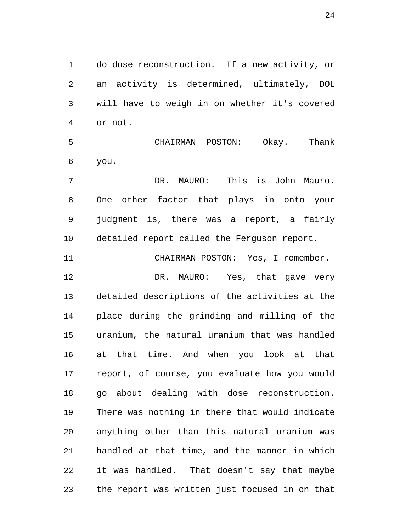1 do dose reconstruction. If a new activity, or 2 an activity is determined, ultimately, DOL 3 will have to weigh in on whether it's covered 4 or not.

5 CHAIRMAN POSTON: Okay. Thank 6 you.

7 DR. MAURO: This is John Mauro. 8 One other factor that plays in onto your 9 judgment is, there was a report, a fairly 10 detailed report called the Ferguson report.

11 CHAIRMAN POSTON: Yes, I remember.

12 DR. MAURO: Yes, that gave very 13 detailed descriptions of the activities at the 14 place during the grinding and milling of the 15 uranium, the natural uranium that was handled 16 at that time. And when you look at that 17 report, of course, you evaluate how you would 18 go about dealing with dose reconstruction. 19 There was nothing in there that would indicate 20 anything other than this natural uranium was 21 handled at that time, and the manner in which 22 it was handled. That doesn't say that maybe 23 the report was written just focused in on that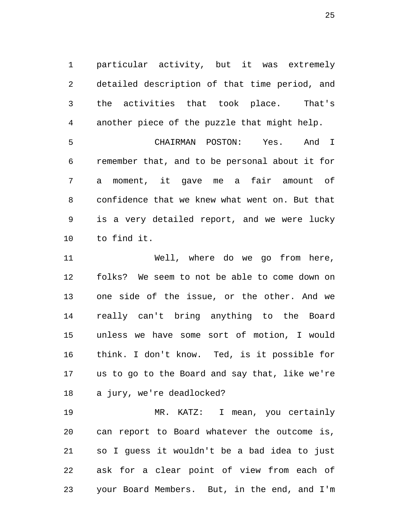1 particular activity, but it was extremely 2 detailed description of that time period, and 3 the activities that took place. That's 4 another piece of the puzzle that might help.

5 CHAIRMAN POSTON: Yes. And I 6 remember that, and to be personal about it for 7 a moment, it gave me a fair amount of 8 confidence that we knew what went on. But that 9 is a very detailed report, and we were lucky 10 to find it.

11 Well, where do we go from here, 12 folks? We seem to not be able to come down on 13 one side of the issue, or the other. And we 14 really can't bring anything to the Board 15 unless we have some sort of motion, I would 16 think. I don't know. Ted, is it possible for 17 us to go to the Board and say that, like we're 18 a jury, we're deadlocked?

19 MR. KATZ: I mean, you certainly 20 can report to Board whatever the outcome is, 21 so I guess it wouldn't be a bad idea to just 22 ask for a clear point of view from each of 23 your Board Members. But, in the end, and I'm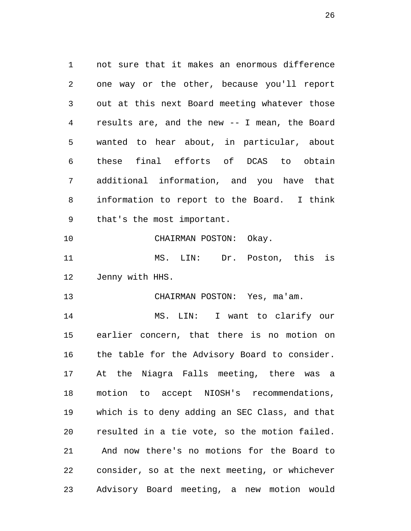1 not sure that it makes an enormous difference 2 one way or the other, because you'll report 3 out at this next Board meeting whatever those 4 results are, and the new -- I mean, the Board 5 wanted to hear about, in particular, about 6 these final efforts of DCAS to obtain 7 additional information, and you have that 8 information to report to the Board. I think 9 that's the most important. 10 CHAIRMAN POSTON: Okay. 11 MS. LIN: Dr. Poston, this is 12 Jenny with HHS. 13 CHAIRMAN POSTON: Yes, ma'am. 14 MS. LIN: I want to clarify our 15 earlier concern, that there is no motion on 16 the table for the Advisory Board to consider. 17 At the Niagra Falls meeting, there was a 18 motion to accept NIOSH's recommendations, 19 which is to deny adding an SEC Class, and that 20 resulted in a tie vote, so the motion failed. 21 And now there's no motions for the Board to 22 consider, so at the next meeting, or whichever 23 Advisory Board meeting, a new motion would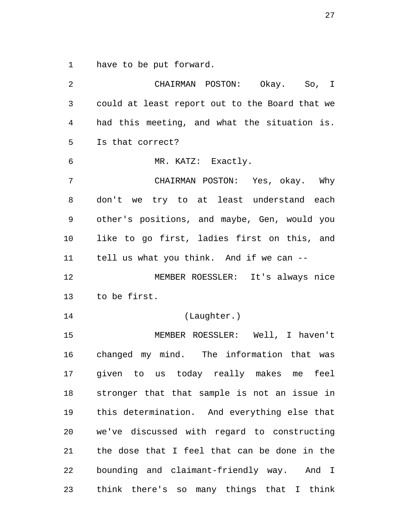1 have to be put forward.

2 CHAIRMAN POSTON: Okay. So, I 3 could at least report out to the Board that we 4 had this meeting, and what the situation is. 5 Is that correct? 6 MR. KATZ: Exactly. 7 CHAIRMAN POSTON: Yes, okay. Why 8 don't we try to at least understand each 9 other's positions, and maybe, Gen, would you 10 like to go first, ladies first on this, and 11 tell us what you think. And if we can -- 12 MEMBER ROESSLER: It's always nice 13 to be first. 14 (Laughter.) 15 MEMBER ROESSLER: Well, I haven't 16 changed my mind. The information that was 17 given to us today really makes me feel 18 stronger that that sample is not an issue in 19 this determination. And everything else that 20 we've discussed with regard to constructing 21 the dose that I feel that can be done in the 22 bounding and claimant-friendly way. And I 23 think there's so many things that I think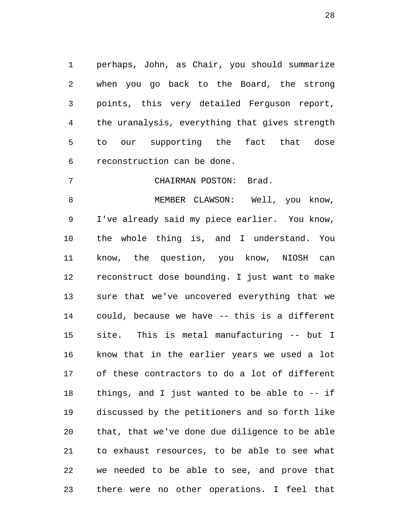1 perhaps, John, as Chair, you should summarize 2 when you go back to the Board, the strong 3 points, this very detailed Ferguson report, 4 the uranalysis, everything that gives strength 5 to our supporting the fact that dose 6 reconstruction can be done.

7 CHAIRMAN POSTON: Brad.

8 MEMBER CLAWSON: Well, you know, 9 I've already said my piece earlier. You know, 10 the whole thing is, and I understand. You 11 know, the question, you know, NIOSH can 12 reconstruct dose bounding. I just want to make 13 sure that we've uncovered everything that we 14 could, because we have -- this is a different 15 site. This is metal manufacturing -- but I 16 know that in the earlier years we used a lot 17 of these contractors to do a lot of different 18 things, and I just wanted to be able to -- if 19 discussed by the petitioners and so forth like 20 that, that we've done due diligence to be able 21 to exhaust resources, to be able to see what 22 we needed to be able to see, and prove that 23 there were no other operations. I feel that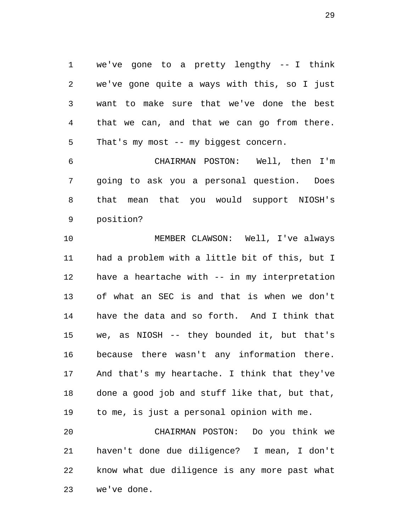1 we've gone to a pretty lengthy -- I think 2 we've gone quite a ways with this, so I just 3 want to make sure that we've done the best 4 that we can, and that we can go from there. 5 That's my most -- my biggest concern.

6 CHAIRMAN POSTON: Well, then I'm 7 going to ask you a personal question. Does 8 that mean that you would support NIOSH's 9 position?

10 MEMBER CLAWSON: Well, I've always 11 had a problem with a little bit of this, but I 12 have a heartache with -- in my interpretation 13 of what an SEC is and that is when we don't 14 have the data and so forth. And I think that 15 we, as NIOSH -- they bounded it, but that's 16 because there wasn't any information there. 17 And that's my heartache. I think that they've 18 done a good job and stuff like that, but that, 19 to me, is just a personal opinion with me.

20 CHAIRMAN POSTON: Do you think we 21 haven't done due diligence? I mean, I don't 22 know what due diligence is any more past what 23 we've done.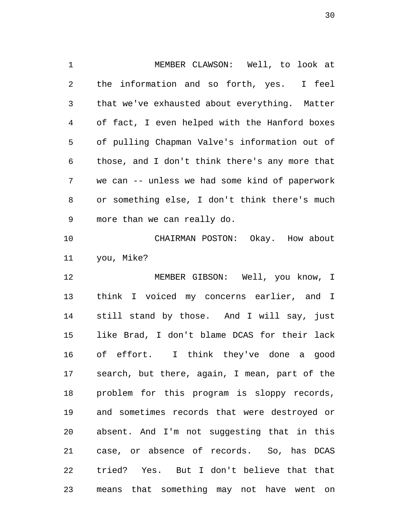1 MEMBER CLAWSON: Well, to look at 2 the information and so forth, yes. I feel 3 that we've exhausted about everything. Matter 4 of fact, I even helped with the Hanford boxes 5 of pulling Chapman Valve's information out of 6 those, and I don't think there's any more that 7 we can -- unless we had some kind of paperwork 8 or something else, I don't think there's much 9 more than we can really do. 10 CHAIRMAN POSTON: Okay. How about 11 you, Mike? 12 MEMBER GIBSON: Well, you know, I 13 think I voiced my concerns earlier, and I 14 still stand by those. And I will say, just 15 like Brad, I don't blame DCAS for their lack 16 of effort. I think they've done a good 17 search, but there, again, I mean, part of the 18 problem for this program is sloppy records, 19 and sometimes records that were destroyed or 20 absent. And I'm not suggesting that in this 21 case, or absence of records. So, has DCAS 22 tried? Yes. But I don't believe that that 23 means that something may not have went on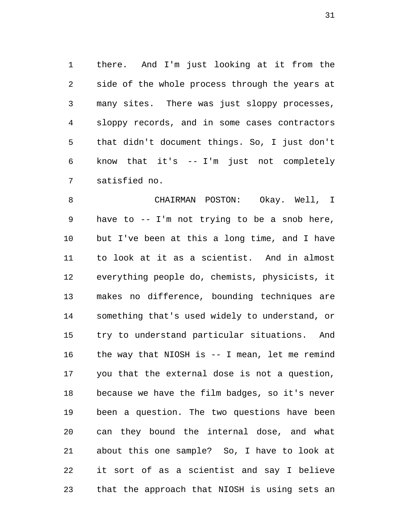1 there. And I'm just looking at it from the 2 side of the whole process through the years at 3 many sites. There was just sloppy processes, 4 sloppy records, and in some cases contractors 5 that didn't document things. So, I just don't 6 know that it's -- I'm just not completely 7 satisfied no.

8 CHAIRMAN POSTON: Okay. Well, I 9 have to -- I'm not trying to be a snob here, 10 but I've been at this a long time, and I have 11 to look at it as a scientist. And in almost 12 everything people do, chemists, physicists, it 13 makes no difference, bounding techniques are 14 something that's used widely to understand, or 15 try to understand particular situations. And 16 the way that NIOSH is -- I mean, let me remind 17 you that the external dose is not a question, 18 because we have the film badges, so it's never 19 been a question. The two questions have been 20 can they bound the internal dose, and what 21 about this one sample? So, I have to look at 22 it sort of as a scientist and say I believe 23 that the approach that NIOSH is using sets an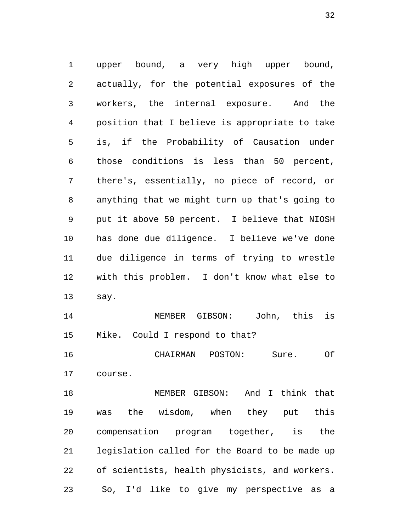1 upper bound, a very high upper bound, 2 actually, for the potential exposures of the 3 workers, the internal exposure. And the 4 position that I believe is appropriate to take 5 is, if the Probability of Causation under 6 those conditions is less than 50 percent, 7 there's, essentially, no piece of record, or 8 anything that we might turn up that's going to 9 put it above 50 percent. I believe that NIOSH 10 has done due diligence. I believe we've done 11 due diligence in terms of trying to wrestle 12 with this problem. I don't know what else to 13 say. 14 MEMBER GIBSON: John, this is 15 Mike. Could I respond to that? 16 CHAIRMAN POSTON: Sure. Of 17 course. 18 MEMBER GIBSON: And I think that 19 was the wisdom, when they put this

20 compensation program together, is the 21 legislation called for the Board to be made up 22 of scientists, health physicists, and workers. 23 So, I'd like to give my perspective as a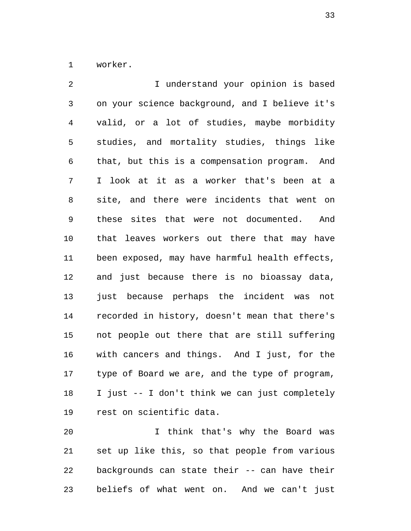1 worker.

2 I understand your opinion is based 3 on your science background, and I believe it's 4 valid, or a lot of studies, maybe morbidity 5 studies, and mortality studies, things like 6 that, but this is a compensation program. And 7 I look at it as a worker that's been at a 8 site, and there were incidents that went on 9 these sites that were not documented. And 10 that leaves workers out there that may have 11 been exposed, may have harmful health effects, 12 and just because there is no bioassay data, 13 just because perhaps the incident was not 14 recorded in history, doesn't mean that there's 15 not people out there that are still suffering 16 with cancers and things. And I just, for the 17 type of Board we are, and the type of program, 18 I just -- I don't think we can just completely 19 rest on scientific data.

20 I think that's why the Board was 21 set up like this, so that people from various 22 backgrounds can state their -- can have their 23 beliefs of what went on. And we can't just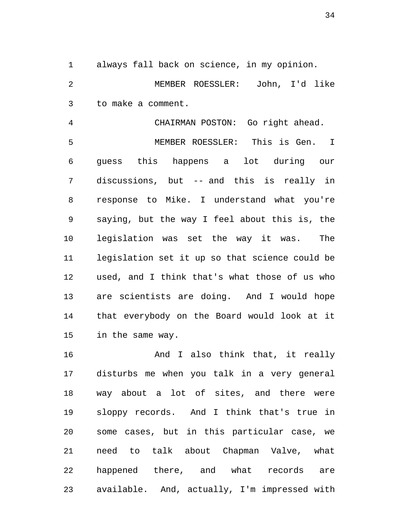1 always fall back on science, in my opinion.

2 MEMBER ROESSLER: John, I'd like 3 to make a comment.

4 CHAIRMAN POSTON: Go right ahead. 5 MEMBER ROESSLER: This is Gen. I 6 guess this happens a lot during our 7 discussions, but -- and this is really in 8 response to Mike. I understand what you're 9 saying, but the way I feel about this is, the 10 legislation was set the way it was. The 11 legislation set it up so that science could be 12 used, and I think that's what those of us who 13 are scientists are doing. And I would hope 14 that everybody on the Board would look at it 15 in the same way.

16 And I also think that, it really 17 disturbs me when you talk in a very general 18 way about a lot of sites, and there were 19 sloppy records. And I think that's true in 20 some cases, but in this particular case, we 21 need to talk about Chapman Valve, what 22 happened there, and what records are 23 available. And, actually, I'm impressed with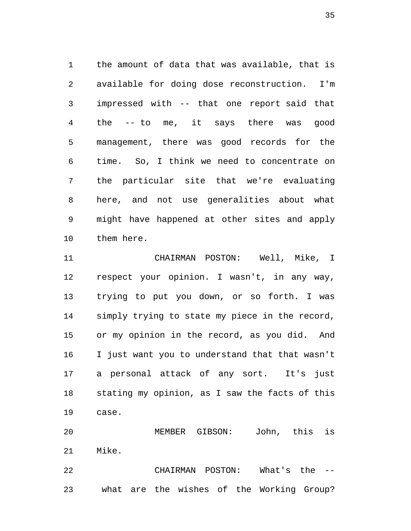1 the amount of data that was available, that is 2 available for doing dose reconstruction. I'm 3 impressed with -- that one report said that 4 the -- to me, it says there was good 5 management, there was good records for the 6 time. So, I think we need to concentrate on 7 the particular site that we're evaluating 8 here, and not use generalities about what 9 might have happened at other sites and apply 10 them here.

11 CHAIRMAN POSTON: Well, Mike, I 12 respect your opinion. I wasn't, in any way, 13 trying to put you down, or so forth. I was 14 simply trying to state my piece in the record, 15 or my opinion in the record, as you did. And 16 I just want you to understand that that wasn't 17 a personal attack of any sort. It's just 18 stating my opinion, as I saw the facts of this 19 case.

20 MEMBER GIBSON: John, this is 21 Mike.

22 CHAIRMAN POSTON: What's the -- 23 what are the wishes of the Working Group?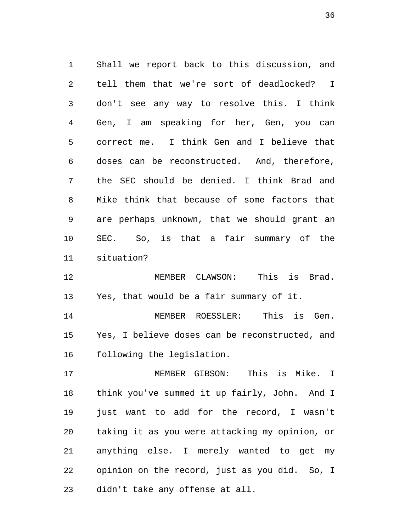1 Shall we report back to this discussion, and 2 tell them that we're sort of deadlocked? I 3 don't see any way to resolve this. I think 4 Gen, I am speaking for her, Gen, you can 5 correct me. I think Gen and I believe that 6 doses can be reconstructed. And, therefore, 7 the SEC should be denied. I think Brad and 8 Mike think that because of some factors that 9 are perhaps unknown, that we should grant an 10 SEC. So, is that a fair summary of the 11 situation?

12 MEMBER CLAWSON: This is Brad. 13 Yes, that would be a fair summary of it.

14 MEMBER ROESSLER: This is Gen. 15 Yes, I believe doses can be reconstructed, and 16 following the legislation.

17 MEMBER GIBSON: This is Mike. I 18 think you've summed it up fairly, John. And I 19 just want to add for the record, I wasn't 20 taking it as you were attacking my opinion, or 21 anything else. I merely wanted to get my 22 opinion on the record, just as you did. So, I 23 didn't take any offense at all.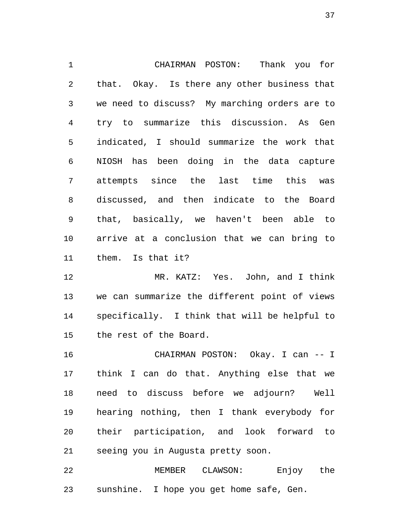1 CHAIRMAN POSTON: Thank you for 2 that. Okay. Is there any other business that 3 we need to discuss? My marching orders are to 4 try to summarize this discussion. As Gen 5 indicated, I should summarize the work that 6 NIOSH has been doing in the data capture 7 attempts since the last time this was 8 discussed, and then indicate to the Board 9 that, basically, we haven't been able to 10 arrive at a conclusion that we can bring to 11 them. Is that it?

12 MR. KATZ: Yes. John, and I think 13 we can summarize the different point of views 14 specifically. I think that will be helpful to 15 the rest of the Board.

16 CHAIRMAN POSTON: Okay. I can -- I 17 think I can do that. Anything else that we 18 need to discuss before we adjourn? Well 19 hearing nothing, then I thank everybody for 20 their participation, and look forward to 21 seeing you in Augusta pretty soon.

22 MEMBER CLAWSON: Enjoy the 23 sunshine. I hope you get home safe, Gen.